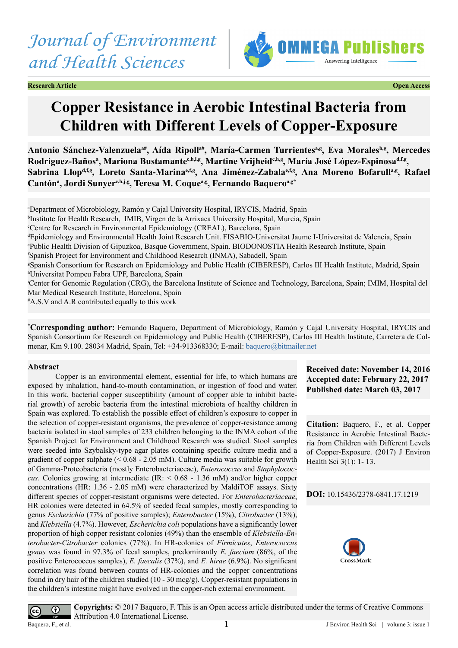*Journal of Environment and Health Sciences*



**Research Article Open Access**

# **Copper Resistance in Aerobic Intestinal Bacteria from Children with Different Levels of Copper-Exposure**

Antonio Sánchez-Valenzuela<sup>a#</sup>, Aída Ripoll<sup>a#</sup>, María-Carmen Turrientes<sup>a,g</sup>, Eva Morales<sup>b,g</sup>, Mercedes Rodriguez-Bañosª, Mariona Bustamante<sup>c,h,i,g</sup>, Martine Vrijheid<sup>c,h,g</sup>, María José López-Espinosa<sup>d,f,g</sup>, Sabrina Llop<sup>d,f,g</sup>, Loreto Santa-Marina<sup>e,f,g</sup>, Ana Jiménez-Zabala<sup>e,f,g</sup>, Ana Moreno Bofarull<sup>a,g</sup>, Rafael  $\mathbf C$ antónª, Jordi Sunyer<sup>c,h,j,g</sup>, Teresa M. Coqueª,g, Fernando Baqueroª,g\*

a Department of Microbiology, Ramón y Cajal University Hospital, IRYCIS, Madrid, Spain

b Institute for Health Research, IMIB, Virgen de la Arrixaca University Hospital, Murcia, Spain

c Centre for Research in Environmental Epidemiology (CREAL), Barcelona, Spain

d Epidemiology and Environmental Health Joint Research Unit. FISABIO-Universitat Jaume I-Universitat de Valencia, Spain e Public Health Division of Gipuzkoa, Basque Government, Spain. BIODONOSTIA Health Research Institute, Spain

f Spanish Project for Environment and Childhood Research (INMA), Sabadell, Spain

g Spanish Consortium for Research on Epidemiology and Public Health (CIBERESP), Carlos III Health Institute, Madrid, Spain h Universitat Pompeu Fabra UPF, Barcelona, Spain

i Center for Genomic Regulation (CRG), the Barcelona Institute of Science and Technology, Barcelona, Spain; IMIM, Hospital del Mar Medical Research Institute, Barcelona, Spain

# A.S.V and A.R contributed equally to this work

**\* Corresponding author:** Fernando Baquero, Department of Microbiology, Ramón y Cajal University Hospital, IRYCIS and Spanish Consortium for Research on Epidemiology and Public Health (CIBERESP), Carlos III Health Institute, Carretera de Colmenar, Km 9.100. 28034 Madrid, Spain, Tel: +34-913368330; E-mail: [baquero@bitmailer.net](mailto:baquero@bitmailer.net)

# **Abstract**

Copper is an environmental element, essential for life, to which humans are exposed by inhalation, hand-to-mouth contamination, or ingestion of food and water. In this work, bacterial copper susceptibility (amount of copper able to inhibit bacterial growth) of aerobic bacteria from the intestinal microbiota of healthy children in Spain was explored. To establish the possible effect of children's exposure to copper in the selection of copper-resistant organisms, the prevalence of copper-resistance among bacteria isolated in stool samples of 233 children belonging to the INMA cohort of the Spanish Project for Environment and Childhood Research was studied. Stool samples were seeded into Szybalsky-type agar plates containing specific culture media and a gradient of copper sulphate  $( $0.68 - 2.05$  mM). Culture media was suitable for growth$ of Gamma-Proteobacteria (mostly Enterobacteriaceae), *Enterococcus* and *Staphylococcus*. Colonies growing at intermediate (IR: < 0.68 - 1.36 mM) and/or higher copper concentrations (HR: 1.36 - 2.05 mM) were characterized by MaldiTOF assays. Sixty different species of copper-resistant organisms were detected. For *Enterobacteriaceae*, HR colonies were detected in 64.5% of seeded fecal samples, mostly corresponding to genus *Escherichia* (77% of positive samples); *Enterobacter* (15%), *Citrobacter* (13%), and *Klebsiella* (4.7%). However, *Escherichia coli* populations have a significantly lower proportion of high copper resistant colonies (49%) than the ensemble of *Klebsiella-Enterobacter-Citrobacter* colonies (77%). In HR-colonies of *Firmicutes*, *Enterococcus genus* was found in 97.3% of fecal samples, predominantly *E. faecium* (86%, of the positive Enterococcus samples), *E. faecalis* (37%), and *E. hirae* (6.9%). No significant correlation was found between counts of HR-colonies and the copper concentrations found in dry hair of the children studied (10 - 30 mcg/g). Copper-resistant populations in the children's intestine might have evolved in the copper-rich external environment.

**Received date: November 14, 2016 Accepted date: February 22, 2017 Published date: March 03, 2017**

**Citation:** Baquero, F., et al. Copper Resistance in Aerobic Intestinal Bacteria from Children with Different Levels of Copper-Exposure. (2017) J Environ Health Sci 3(1): 1- 13.

# **DOI:** [10.15436/2378-6841.17.1](http://www.dx.doi.org/10.15436/2378-6841.17.1219)219



**Copyrights:** © 2017 Baquero, F. This is an Open access article distributed under the terms of Creative Commons  $\odot$ Attribution 4.0 International License. Baquero, F., et al. 1

 $\left(\mathrm{cc}\right)$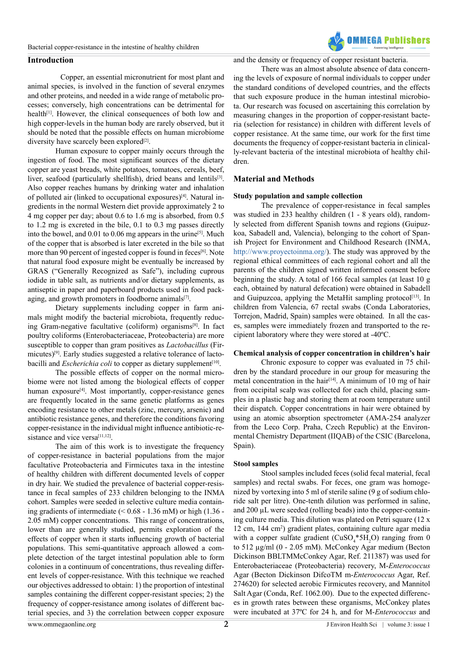# **Introduction**

 Copper, an essential micronutrient for most plant and animal species, is involved in the function of several enzymes and other proteins, and needed in a wide range of metabolic processes; conversely, high concentrations can be detrimental for health<sup>[1]</sup>. However, the clinical consequences of both low and high copper-levels in the human body are rarely observed, but it should be noted that the possible effects on human microbiome diversity have scarcely been explored<sup>[2]</sup>.

Human exposure to copper mainly occurs through the ingestion of food. The most significant sources of the dietary copper are yeast breads, white potatoes, tomatoes, cereals, beef, liver, seafood (particularly shellfish), dried beans and lentils[\[3\]](#page-11-2). Also copper reaches humans by drinking water and inhalation of polluted air (linked to occupational exposures)<sup>[4]</sup>. Natural ingredients in the normal Western diet provide approximately 2 to 4 mg copper per day; about 0.6 to 1.6 mg is absorbed, from 0.5 to 1.2 mg is excreted in the bile, 0.1 to 0.3 mg passes directly into the bowel, and  $0.01$  to  $0.06$  mg appears in the urine<sup>[5]</sup>. Much of the copper that is absorbed is later excreted in the bile so that more than 90 percent of ingested copper is found in feces<sup>[6]</sup>. Note that natural food exposure might be eventually be increased by GRAS ("Generally Recognized as Safe"), including cuprous iodide in table salt, as nutrients and/or dietary supplements, as antiseptic in paper and paperboard products used in food packaging, and growth promoters in foodborne animals<sup>[7]</sup>.

Dietary supplements including copper in farm animals might modify the bacterial microbiota, frequently reducing Gram-negative facultative (coliform) organisms<sup>[8]</sup>. In fact poultry coliforms (Enterobacteriaceae, Proteobacteria) are more susceptible to copper than gram positives as *Lactobacillus* (Firmicutes[\)\[9\]](#page-11-8). Early studies suggested a relative tolerance of lactobacilli and *Escherichia coli* to copper as dietary supplement<sup>[10]</sup>.

The possible effects of copper on the normal microbiome were not listed among the biological effects of copper human exposure<sup>[\[4\]](#page-11-3)</sup>. Most importantly, copper-resistance genes are frequently located in the same genetic platforms as genes encoding resistance to other metals (zinc, mercury, arsenic) and antibiotic resistance genes, and therefore the conditions favoring copper-resistance in the individual might influence antibiotic-resistance and vice versa<sup>[11,12]</sup>.

The aim of this work is to investigate the frequency of copper-resistance in bacterial populations from the major facultative Proteobacteria and Firmicutes taxa in the intestine of healthy children with different documented levels of copper in dry hair. We studied the prevalence of bacterial copper-resistance in fecal samples of 233 children belonging to the INMA cohort. Samples were seeded in selective culture media containing gradients of intermediate  $(< 0.68 - 1.36$  mM) or high  $(1.36 -$ 2.05 mM) copper concentrations. This range of concentrations, lower than are generally studied, permits exploration of the effects of copper when it starts influencing growth of bacterial populations. This semi-quantitative approach allowed a complete detection of the target intestinal population able to form colonies in a continuum of concentrations, thus revealing different levels of copper-resistance. With this technique we reached our objectives addressed to obtain: 1) the proportion of intestinal samples containing the different copper-resistant species; 2) the frequency of copper-resistance among isolates of different bacterial species, and 3) the correlation between copper exposure and the density or frequency of copper resistant bacteria.

There was an almost absolute absence of data concerning the levels of exposure of normal individuals to copper under the standard conditions of developed countries, and the effects that such exposure produce in the human intestinal microbiota. Our research was focused on ascertaining this correlation by measuring changes in the proportion of copper-resistant bacteria (selection for resistance) in children with different levels of copper resistance. At the same time, our work for the first time documents the frequency of copper-resistant bacteria in clinically-relevant bacteria of the intestinal microbiota of healthy children.

**OMMFCA Publichers** 

# **Material and Methods**

#### **Study population and sample collection**

The prevalence of copper-resistance in fecal samples was studied in 233 healthy children (1 - 8 years old), randomly selected from different Spanish towns and regions (Guipuzkoa, Sabadell and, Valencia), belonging to the cohort of Spanish Project for Environment and Childhood Research (INMA, <http://www.proyectoinma.org/>). The study was approved by the regional ethical committees of each regional cohort and all the parents of the children signed written informed consent before beginning the study. A total of 166 fecal samples (at least 10 g each, obtained by natural defecation) were obtained in Sabadell and Guipuzcoa, applying the MetaHit sampling protocol $[13]$ . In children from Valencia, 67 rectal swabs (Conda Laboratories, Torrejon, Madrid, Spain) samples were obtained. In all the cases, samples were immediately frozen and transported to the recipient laboratory where they were stored at -40ºC.

# **Chemical analysis of copper concentration in children's hair**

Chronic exposure to copper was evaluated in 75 children by the standard procedure in our group for measuring the metal concentration in the hair<sup>[14]</sup>. A minimum of 10 mg of hair from occipital scalp was collected for each child, placing samples in a plastic bag and storing them at room temperature until their dispatch. Copper concentrations in hair were obtained by using an atomic absorption spectrometer (AMA-254 analyzer from the Leco Corp. Praha, Czech Republic) at the Environmental Chemistry Department (IIQAB) of the CSIC (Barcelona, Spain).

# **Stool samples**

Stool samples included feces (solid fecal material, fecal samples) and rectal swabs. For feces, one gram was homogenized by vortexing into 5 ml of sterile saline (9 g of sodium chloride salt per litre). One-tenth dilution was performed in saline, and 200 µL were seeded (rolling beads) into the copper-containing culture media. This dilution was plated on Petri square (12 x 12 cm, 144 cm2 ) gradient plates, containing culture agar media with a copper sulfate gradient  $(CuSO_4*5H_2O)$  ranging from 0 to 512 µg/ml (0 - 2.05 mM). McConkey Agar medium (Becton Dickinson BBLTMMcConkey Agar, Ref. 211387) was used for Enterobacteriaceae (Proteobacteria) recovery, M-*Enterococcus* Agar (Becton Dickinson DifcoTM m-*Enterococcus* Agar, Ref. 274620) for selected aerobic Firmicutes recovery, and Mannitol Salt Agar (Conda, Ref. 1062.00). Due to the expected differences in growth rates between these organisms, McConkey plates were incubated at 37ºC for 24 h, and for M-*Enterococcus* and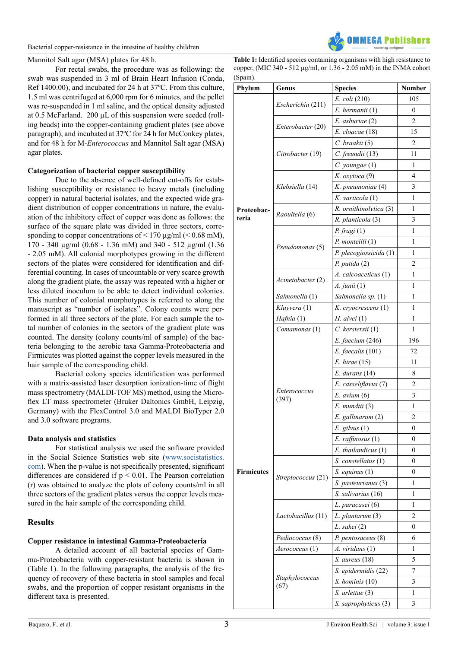# Mannitol Salt agar (MSA) plates for 48 h.

For rectal swabs, the procedure was as following: the swab was suspended in 3 ml of Brain Heart Infusion (Conda, Ref 1400.00), and incubated for 24 h at 37ºC. From this culture, 1.5 ml was centrifuged at 6,000 rpm for 6 minutes, and the pellet was re-suspended in 1 ml saline, and the optical density adjusted at 0.5 McFarland. 200 µL of this suspension were seeded (rolling beads) into the copper-containing gradient plates (see above paragraph), and incubated at 37ºC for 24 h for McConkey plates, and for 48 h for M-*Enterococcus* and Mannitol Salt agar (MSA) agar plates.

# **Categorization of bacterial copper susceptibility**

Due to the absence of well-defined cut-offs for establishing susceptibility or resistance to heavy metals (including copper) in natural bacterial isolates, and the expected wide gradient distribution of copper concentrations in nature, the evaluation of the inhibitory effect of copper was done as follows: the surface of the square plate was divided in three sectors, corresponding to copper concentrations of  $\leq 170 \text{ µg/ml } (\leq 0.68 \text{ mM})$ , 170 - 340 µg/ml (0.68 - 1.36 mM) and 340 - 512 µg/ml (1.36 - 2.05 mM). All colonial morphotypes growing in the different sectors of the plates were considered for identification and differential counting. In cases of uncountable or very scarce growth along the gradient plate, the assay was repeated with a higher or less diluted inoculum to be able to detect individual colonies. This number of colonial morphotypes is referred to along the manuscript as "number of isolates". Colony counts were performed in all three sectors of the plate. For each sample the total number of colonies in the sectors of the gradient plate was counted. The density (colony counts/ml of sample) of the bacteria belonging to the aerobic taxa Gamma-Proteobacteria and Firmicutes was plotted against the copper levels measured in the hair sample of the corresponding child.

Bacterial colony species identification was performed with a matrix-assisted laser desorption ionization-time of flight mass spectrometry (MALDI-TOF MS) method, using the Microflex LT mass spectrometer (Bruker Daltonics GmbH, Leipzig, Germany) with the FlexControl 3.0 and MALDI BioTyper 2.0 and 3.0 software programs.

# **Data analysis and statistics**

For statistical analysis we used the software provided in the Social Science Statistics web site [\(www.socistatistics.](http://www.socistatistics.com) [com](http://www.socistatistics.com)). When the p-value is not specifically presented, significant differences are considered if p < 0.01. The Pearson correlation (r) was obtained to analyze the plots of colony counts/ml in all three sectors of the gradient plates versus the copper levels measured in the hair sample of the corresponding child.

# **Results**

# **Copper resistance in intestinal Gamma-Proteobacteria**

A detailed account of all bacterial species of Gamma-Proteobacteria with copper-resistant bacteria is shown in (Table 1). In the following paragraphs, the analysis of the frequency of recovery of these bacteria in stool samples and fecal swabs, and the proportion of copper resistant organisms in the different taxa is presented.



| <b>Table 1:</b> Identified species containing organisms with high resistance to |
|---------------------------------------------------------------------------------|
| copper, (MIC 340 - 512 $\mu$ g/ml, or 1.36 - 2.05 mM) in the INMA cohort        |
| (Spain).                                                                        |

| Phylum            | Genus              | <b>Species</b>          | <b>Number</b>    |  |  |  |
|-------------------|--------------------|-------------------------|------------------|--|--|--|
|                   |                    | E. coli (210)           | 105              |  |  |  |
|                   | Escherichia (211)  | E. hermanii (1)         | 0                |  |  |  |
|                   |                    | E. asburiae (2)         | 2                |  |  |  |
|                   | Enterobacter (20)  | E. cloacae (18)         | 15               |  |  |  |
|                   |                    | C. braakii (5)          | 2                |  |  |  |
|                   | Citrobacter (19)   | C. freundii (13)        | 11               |  |  |  |
|                   |                    | $C.$ youngae $(1)$      | 1                |  |  |  |
|                   |                    | K. oxytoca (9)          | 4                |  |  |  |
|                   | Klebsiella (14)    | K. pneumoniae (4)       | 3                |  |  |  |
|                   |                    | K. variicola (1)        | 1                |  |  |  |
| Proteobac-        | Raoultella (6)     | R. ornithinolytica (3)  | 1                |  |  |  |
| teria             |                    | R. planticola (3)       | 3                |  |  |  |
|                   |                    | P. fragi(1)             | 1                |  |  |  |
|                   | Pseudomonas (5)    | $P.$ monteilli $(1)$    | 1                |  |  |  |
|                   |                    | P. plecogiossicida (1)  | 1                |  |  |  |
|                   |                    | $P.$ putida $(2)$       | 2                |  |  |  |
|                   | Acinetobacter (2)  | A. calcoaceticus (1)    | 1                |  |  |  |
|                   |                    | A. junii (1)            | 1                |  |  |  |
|                   | Salmonella (1)     | Salmonella sp. (1)      | 1                |  |  |  |
|                   | Kluyvera (1)       | K. cryocrescens (1)     | 1                |  |  |  |
|                   | Hafnia (1)         | $H.$ alvei $(1)$        | 1                |  |  |  |
|                   | Comamonas (1)      | C. kerstersii (1)       | 1                |  |  |  |
|                   |                    | E. faecium (246)        | 196              |  |  |  |
|                   |                    | $E.$ faecalis $(101)$   | 72               |  |  |  |
|                   |                    | E. hirae (15)           | 11               |  |  |  |
|                   |                    | $E.$ durans $(14)$      | 8                |  |  |  |
|                   | Enterococcus       | E. casseliflavus (7)    | 2                |  |  |  |
|                   | (397)              | $E.$ avium $(6)$        | 3                |  |  |  |
|                   |                    | E. mundtii (3)          | 1                |  |  |  |
|                   |                    | E. gallinarum (2)       | $\overline{c}$   |  |  |  |
|                   |                    | $E.$ gilvus $(1)$       | $\boldsymbol{0}$ |  |  |  |
|                   |                    | $E.$ raffinosus $(1)$   | 0                |  |  |  |
|                   |                    | $E.$ thailandicus $(1)$ | 0                |  |  |  |
|                   |                    | S. constellatus (1)     | 0                |  |  |  |
| <b>Firmicutes</b> | Streptococcus (21) | $S.$ equinus $(1)$      | 0                |  |  |  |
|                   |                    | S. pasteurianus (3)     | 1                |  |  |  |
|                   |                    | S. salivarius (16)      | 1                |  |  |  |
|                   |                    | L. paracasei (6)        | 1                |  |  |  |
|                   | Lactobacillus (11) | L. plantarum (3)        | 2                |  |  |  |
|                   |                    | L. sakei (2)            | 0                |  |  |  |
|                   | Pediococcus (8)    | P. pentosaceus (8)      | 6                |  |  |  |
|                   | Aerococcus (1)     | A. <i>viridans</i> (1)  | 1                |  |  |  |
|                   |                    | S. aureus (18)          | 5                |  |  |  |
|                   | Staphylococcus     | S. epidermidis (22)     | 7                |  |  |  |
|                   | (67)               | S. hominis (10)         | 3                |  |  |  |
|                   |                    | S. arlettae (3)         | 1                |  |  |  |
|                   |                    | S. saprophyticus (3)    | 3                |  |  |  |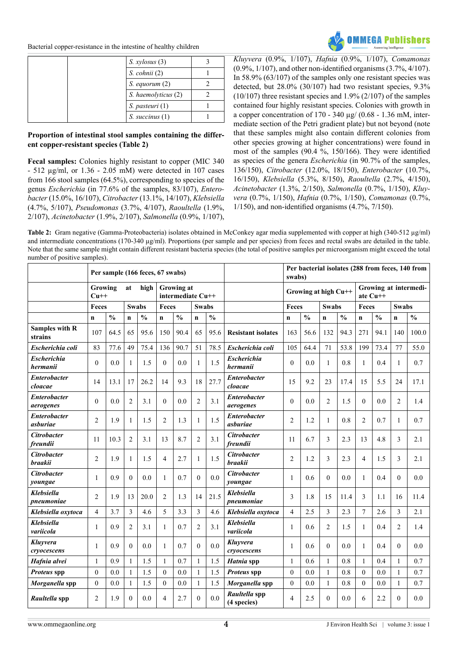

| S. xylosus(3)       |  |
|---------------------|--|
| $S.$ cohnii $(2)$   |  |
| $S.$ equorum $(2)$  |  |
| S. haemolyticus (2) |  |
| S. pasteuri (1)     |  |
| $S.$ succinus $(1)$ |  |

# **Proportion of intestinal stool samples containing the different copper-resistant species (Table 2)**

**Fecal samples:** Colonies highly resistant to copper (MIC 340 - 512 µg/ml, or 1.36 - 2.05 mM) were detected in 107 cases from 166 stool samples (64.5%), corresponding to species of the genus *Escherichia* (in 77.6% of the samples, 83/107), *Enterobacter* (15.0%, 16/107), *Citrobacter* (13.1%, 14/107), *Klebsiella* (4.7%, 5/107), *Pseudomonas* (3.7%, 4/107), *Raoultella* (1.9%, 2/107), *Acinetobacter* (1.9%, 2/107), *Salmonella* (0.9%, 1/107),

*Kluyvera* (0.9%, 1/107), *Hafnia* (0.9%, 1/107), *Comamonas* (0.9%, 1/107), and other non-identified organisms (3.7%, 4/107). In 58.9% (63/107) of the samples only one resistant species was detected, but 28.0% (30/107) had two resistant species, 9.3% (10/107) three resistant species and 1.9% (2/107) of the samples contained four highly resistant species. Colonies with growth in a copper concentration of  $170 - 340 \mu$ g/ (0.68 - 1.36 mM, intermediate section of the Petri gradient plate) but not beyond (note that these samples might also contain different colonies from other species growing at higher concentrations) were found in most of the samples (90.4 %, 150/166). They were identified as species of the genera *Escherichia* (in 90.7% of the samples, 136/150), *Citrobacter* (12.0%, 18/150), *Enterobacter* (10.7%, 16/150), *Klebsiella* (5.3%, 8/150), *Raoultella* (2.7%, 4/150), *Acinetobacter* (1.3%, 2/150), *Salmonella* (0.7%, 1/150), *Kluyvera* (0.7%, 1/150), *Hafnia* (0.7%, 1/150), *Comamonas* (0.7%, 1/150), and non-identified organisms (4.7%, 7/150).

Table 2: Gram negative (Gamma-Proteobacteria) isolates obtained in McConkey agar media supplemented with copper at high (340-512 µg/ml) and intermediate concentrations (170-340  $\mu$ g/ml). Proportions (per sample and per species) from feces and rectal swabs are detailed in the table. Note that the same sample might contain different resistant bacteria species (the total of positive samples per microorganism might exceed the total number of positive samples).

|                                  |                                 |               |                | Per sample (166 feces, 67 swabs) |                                        |               |                |               |                                      | Per bacterial isolates (288 from feces, 140 from<br>swabs) |                      |                |               |                                     |               |                         |               |  |
|----------------------------------|---------------------------------|---------------|----------------|----------------------------------|----------------------------------------|---------------|----------------|---------------|--------------------------------------|------------------------------------------------------------|----------------------|----------------|---------------|-------------------------------------|---------------|-------------------------|---------------|--|
|                                  | Growing<br>high<br>at<br>$Cu++$ |               |                |                                  | <b>Growing at</b><br>intermediate Cu++ |               |                |               |                                      |                                                            | Growing at high Cu++ |                |               | Growing at intermedi-<br>ate $Cu++$ |               |                         |               |  |
|                                  | Feces                           |               | <b>Swabs</b>   |                                  | Feces                                  |               | <b>Swabs</b>   |               |                                      | Feces                                                      |                      |                | <b>Swabs</b>  |                                     | Feces         |                         | <b>Swabs</b>  |  |
|                                  | $\mathbf n$                     | $\frac{0}{0}$ | $\mathbf n$    | $\frac{0}{0}$                    | $\mathbf n$                            | $\frac{0}{0}$ | $\mathbf n$    | $\frac{0}{0}$ |                                      | $\mathbf n$                                                | $\frac{0}{0}$        | $\mathbf{n}$   | $\frac{0}{0}$ | $\mathbf n$                         | $\frac{0}{0}$ | $\mathbf n$             | $\frac{0}{0}$ |  |
| <b>Samples with R</b><br>strains | 107                             | 64.5          | 65             | 95.6                             | 150                                    | 90.4          | 65             | 95.6          | <b>Resistant isolates</b>            | 163                                                        | 56.6                 | 132            | 94.3          | 271                                 | 94.1          | 140                     | 100.0         |  |
| Escherichia coli                 | 83                              | 77.6          | 49             | 75.4                             | 136                                    | 90.7          | 51             | 78.5          | Escherichia coli                     | 105                                                        | 64.4                 | 71             | 53.8          | 199                                 | 73.4          | 77                      | 55.0          |  |
| <b>Escherichia</b><br>hermanii   | $\theta$                        | 0.0           | $\mathbf{1}$   | 1.5                              | $\theta$                               | 0.0           | $\mathbf{1}$   | 1.5           | <b>Escherichia</b><br>hermanii       | $\Omega$                                                   | 0.0                  | $\mathbf{1}$   | 0.8           | 1                                   | 0.4           | $\mathbf{1}$            | 0.7           |  |
| <b>Enterobacter</b><br>cloacae   | 14                              | 13.1          | 17             | 26.2                             | 14                                     | 9.3           | 18             | 27.7          | <b>Enterobacter</b><br>cloacae       | 15                                                         | 9.2                  | 23             | 17.4          | 15                                  | 5.5           | 24                      | 17.1          |  |
| <b>Enterobacter</b><br>aerogenes | $\theta$                        | 0.0           | $\overline{2}$ | 3.1                              | $\theta$                               | 0.0           | $\overline{c}$ | 3.1           | <b>Enterobacter</b><br>aerogenes     | $\Omega$                                                   | 0.0                  | $\overline{2}$ | 1.5           | $\theta$                            | 0.0           | $\overline{2}$          | 1.4           |  |
| <b>Enterobacter</b><br>ashuriae  | $\overline{2}$                  | 1.9           | $\mathbf{1}$   | 1.5                              | $\overline{c}$                         | 1.3           | 1              | 1.5           | <b>Enterobacter</b><br>ashuriae      | $\overline{2}$                                             | 1.2                  | $\mathbf{1}$   | 0.8           | $\overline{2}$                      | 0.7           | 1                       | 0.7           |  |
| <b>Citrobacter</b><br>freundii   | 11                              | 10.3          | 2              | 3.1                              | 13                                     | 8.7           | 2              | 3.1           | <b>Citrobacter</b><br>freundii       | 11                                                         | 6.7                  | 3              | 2.3           | 13                                  | 4.8           | 3                       | 2.1           |  |
| <b>Citrobacter</b><br>braakii    | $\overline{2}$                  | 1.9           | 1              | 1.5                              | $\overline{4}$                         | 2.7           | 1              | 1.5           | <b>Citrobacter</b><br><b>braakii</b> | $\overline{2}$                                             | 1.2                  | 3              | 2.3           | $\overline{4}$                      | 1.5           | 3                       | 2.1           |  |
| <b>Citrobacter</b><br>youngae    | $\mathbf{1}$                    | 0.9           | $\mathbf{0}$   | 0.0                              | 1                                      | 0.7           | $\overline{0}$ | 0.0           | <b>Citrobacter</b><br>youngae        | 1                                                          | 0.6                  | $\overline{0}$ | 0.0           | 1                                   | 0.4           | $\Omega$                | 0.0           |  |
| Klebsiella<br>pneumoniae         | $\overline{2}$                  | 1.9           | 13             | 20.0                             | $\overline{2}$                         | 1.3           | 14             | 21.5          | <b>Klebsiella</b><br>pneumoniae      | 3                                                          | 1.8                  | 15             | 11.4          | 3                                   | 1.1           | 16                      | 11.4          |  |
| Klebsiella oxytoca               | $\overline{4}$                  | 3.7           | 3              | 4.6                              | 5                                      | 3.3           | 3              | 4.6           | Klebsiella oxytoca                   | $\overline{4}$                                             | 2.5                  | 3              | 2.3           | $\overline{7}$                      | 2.6           | $\overline{\mathbf{3}}$ | 2.1           |  |
| <b>Klebsiella</b><br>variicola   | $\mathbf{1}$                    | 0.9           | $\overline{2}$ | 3.1                              | 1                                      | 0.7           | 2              | 3.1           | <b>Klebsiella</b><br>variicola       | $\mathbf{1}$                                               | 0.6                  | $\overline{2}$ | 1.5           | 1                                   | 0.4           | $\overline{2}$          | 1.4           |  |
| Kluvvera<br>cryocescens          | $\mathbf{1}$                    | 0.9           | $\theta$       | 0.0                              | 1                                      | 0.7           | $\theta$       | 0.0           | Kluvvera<br>cryocescens              | $\mathbf{1}$                                               | 0.6                  | $\theta$       | 0.0           | 1                                   | 0.4           | $\Omega$                | 0.0           |  |
| Hafnia alvei                     | $\mathbf{1}$                    | 0.9           | $\mathbf{1}$   | 1.5                              | 1                                      | 0.7           | $\mathbf{1}$   | 1.5           | Hatnia spp                           | 1                                                          | 0.6                  | $\mathbf{1}$   | 0.8           | 1                                   | 0.4           | $\mathbf{1}$            | 0.7           |  |
| Proteus spp                      | $\mathbf{0}$                    | 0.0           | $\mathbf{1}$   | 1.5                              | $\mathbf{0}$                           | 0.0           | $\mathbf{1}$   | 1.5           | Proteus spp                          | $\theta$                                                   | 0.0                  | $\mathbf{1}$   | 0.8           | $\mathbf{0}$                        | 0.0           | $\mathbf{1}$            | 0.7           |  |
| Morganella spp                   | $\mathbf{0}$                    | 0.0           | $\mathbf{1}$   | 1.5                              | $\mathbf{0}$                           | 0.0           | 1              | 1.5           | Morganella spp                       | $\theta$                                                   | 0.0                  | $\mathbf{1}$   | 0.8           | $\theta$                            | 0.0           | 1                       | 0.7           |  |
| Raultella spp                    | $\overline{c}$                  | 1.9           | $\theta$       | 0.0                              | 4                                      | 2.7           | $\theta$       | 0.0           | Raultella spp<br>(4 species)         | $\overline{4}$                                             | 2.5                  | $\theta$       | 0.0           | 6                                   | 2.2           | $\theta$                | 0.0           |  |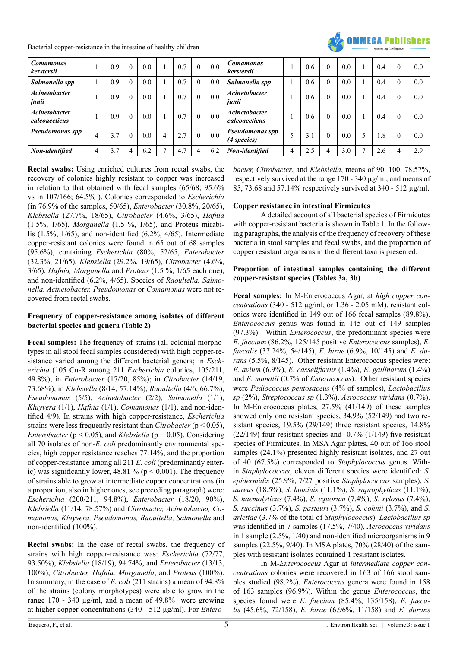

| <b>Comamonas</b><br>kerstersii        |   | 0.9 | $\theta$ | 0.0 |              | 0.7 | $\theta$ | 0.0 | <b>Comamonas</b><br>kerstersii        |         | 0.6 | 0.0 |              | 0.4 | 0.0 |
|---------------------------------------|---|-----|----------|-----|--------------|-----|----------|-----|---------------------------------------|---------|-----|-----|--------------|-----|-----|
| Salmonella spp                        |   | 0.9 | $\theta$ | 0.0 |              | 0.7 | $\theta$ | 0.0 | Salmonella spp                        |         | 0.6 | 0.0 |              | 0.4 | 0.0 |
| <b>Acinetobacter</b><br>junii         |   | 0.9 | $\theta$ | 0.0 |              | 0.7 | $\theta$ | 0.0 | <b>Acinetobacter</b><br>junii         |         | 0.6 | 0.0 |              | 0.4 | 0.0 |
| <b>Acinetobacter</b><br>calcoaceticus |   | 0.9 | $\theta$ | 0.0 |              | 0.7 | $\theta$ | 0.0 | <b>Acinetobacter</b><br>calcoaceticus |         | 0.6 | 0.0 |              | 0.4 | 0.0 |
| Pseudomonas spp                       | 4 | 3.7 | $\theta$ | 0.0 | 4            | 2.7 | $\theta$ | 0.0 | <b>Pseudomonas spp</b><br>(4 species) | $\cdot$ | 3.1 | 0.0 | 5            | 1.8 | 0.0 |
| Non-identified                        | 4 | 3.7 | 4        | 6.2 | $\mathbf{r}$ | 4.7 | 4        | 6.2 | Non-identified                        | 4       | 2.5 | 3.0 | $\mathbf{r}$ | 2.6 | 2.9 |

**Rectal swabs:** Using enriched cultures from rectal swabs, the recovery of colonies highly resistant to copper was increased in relation to that obtained with fecal samples (65/68; 95.6% vs in 107/166; 64.5% ). Colonies corresponded to *Escherichia* (in 76.9% of the samples, 50/65), *Enterobacter* (30.8%, 20/65), *Klebsiella* (27.7%, 18/65), *Citrobacter* (4.6%, 3/65), *Hafnia*  (1.5%, 1/65), *Morganella* (1.5 %, 1/65), and Proteus mirabilis (1.5%, 1/65), and non-identified (6.2%, 4/65). Intermediate copper-resistant colonies were found in 65 out of 68 samples (95.6%), containing *Escherichia* (80%, 52/65, *Enterobacter* (32.3%, 21/65), *Klebsiella* (29.2%, 19/65), *Citrobacter* (4.6%, 3/65), *Hafnia, Morganella* and *Proteus* (1.5 %, 1/65 each one), and non-identified (6.2%, 4/65). Species of *Raoultella, Salmonella, Acinetobacter, Pseudomonas* or *Comamonas* were not recovered from rectal swabs.

# **Frequency of copper-resistance among isolates of different bacterial species and genera (Table 2)**

**Fecal samples:** The frequency of strains (all colonial morphotypes in all stool fecal samples considered) with high copper-resistance varied among the different bacterial genera; in *Escherichia* (105 Cu-R among 211 *Escherichia* colonies, 105/211, 49.8%), in *Enterobacter* (17/20, 85%); in *Citrobacter* (14/19, 73.68%), in *Klebsiella* (8/14, 57.14%), *Raoultella* (4/6, 66.7%), *Pseudomonas* (5/5), *Acinetobacter* (2/2), *Salmonella* (1/1), *Kluyvera* (1/1), *Hafnia* (1/1), *Comamonas* (1/1), and non-identified 4/9). In strains with high copper-resistance, *Escherichia*  strains were less frequently resistant than *Citrobacter* (p < 0.05), *Enterobacter* ( $p < 0.05$ ), and *Klebsiella* ( $p = 0.05$ ). Considering all 70 isolates of non-*E. coli* predominantly environmental species, high copper resistance reaches 77.14%, and the proportion of copper-resistance among all 211 *E. coli* (predominantly enteric) was significantly lower, 48.81 % ( $p < 0.001$ ). The frequency of strains able to grow at intermediate copper concentrations (in a proportion, also in higher ones, see preceding paragraph) were: *Escherichia* (200/211, 94.8%), *Enterobacter* (18/20, 90%), *Klebsiella* (11/14, 78.57%) and *Citrobacter, Acinetobacter, Comamonas, Kluyvera, Pseudomonas, Raoultella, Salmonella* and non-identified (100%).

**Rectal swabs:** In the case of rectal swabs, the frequency of strains with high copper-resistance was: *Escherichia* (72/77, 93.50%), *Klebsiella* (18/19), 94.74%, and *Enterobacter* (13/13, 100%), *Citrobacter, Hafnia, Morganella*, and *Proteus* (100%). In summary, in the case of *E. coli* (211 strains) a mean of 94.8% of the strains (colony morphotypes) were able to grow in the range 170 - 340 µg/ml, and a mean of 49.8% were growing at higher copper concentrations (340 - 512 µg/ml). For *Entero-* *bacter, Citrobacter*, and *Klebsiella*, means of 90, 100, 78.57%, respectively survived at the range 170 - 340 µg/ml, and means of 85, 73.68 and 57.14% respectively survived at 340 - 512 µg/ml.

# **Copper resistance in intestinal Firmicutes**

A detailed account of all bacterial species of Firmicutes with copper-resistant bacteria is shown in Table 1. In the following paragraphs, the analysis of the frequency of recovery of these bacteria in stool samples and fecal swabs, and the proportion of copper resistant organisms in the different taxa is presented.

# **Proportion of intestinal samples containing the different copper-resistant species (Tables 3a, 3b)**

**Fecal samples:** In M-Enterococcus Agar, at *high copper concentrations* (340 - 512 µg/ml, or 1.36 - 2.05 mM), resistant colonies were identified in 149 out of 166 fecal samples (89.8%). *Enterococcus* genus was found in 145 out of 149 samples (97.3%). Within *Enterococcus*, the predominant species were *E. faecium* (86.2%, 125/145 positive *Enterococcus* samples), *E. faecalis* (37.24%, 54/145), *E. hirae* (6.9%, 10/145) and *E. durans* (5.5%, 8/145). Other resistant Enterococcus species were: *E. avium* (6.9%), *E. casseliflavus* (1.4%), *E. gallinarum* (1.4%) and *E. mundtii* (0.7% of *Enterococcus*). Other resistant species were *Pediococcus pentosaceus* (4% of samples), *Lactobacillus sp* (2%), *Streptococcus sp* (1.3%), *Aerococcus viridans* (0.7%). In M-Enterococcus plates, 27.5% (41/149) of these samples showed only one resistant species, 34.9% (52/149) had two resistant species, 19.5% (29/149) three resistant species, 14.8%  $(22/149)$  four resistant species and 0.7%  $(1/149)$  five resistant species of Firmicutes. In MSA Agar plates, 40 out of 166 stool samples (24.1%) presented highly resistant isolates, and 27 out of 40 (67.5%) corresponded to *Staphylococcus* genus. Within *Staphylococcus*, eleven different species were identified: *S. epidermidis* (25.9%, 7/27 positive *Staphylococcus* samples), *S. aureus* (18.5%), *S. hominis* (11.1%), *S. saprophyticus* (11.1%), *S. haemolyticus* (7.4%), *S. equorum* (7.4%), *S. xylosus* (7.4%), *S. succinus* (3.7%), *S. pasteuri* (3.7%), *S. cohnii* (3.7%), and *S. arlettae* (3.7% of the total of *Staphylococcus*). *Lactobacillus sp* was identified in 7 samples (17.5%, 7/40), *Aerococcus viridans*  in 1 sample (2.5%, 1/40) and non-identified microorganisms in 9 samples (22.5%, 9/40). In MSA plates, 70% (28/40) of the samples with resistant isolates contained 1 resistant isolates.

In M-*Enterococcus* Agar at *intermediate copper concentrations* colonies were recovered in 163 of 166 stool samples studied (98.2%). *Enterococcus* genera were found in 158 of 163 samples (96.9%). Within the genus *Enterococcus*, the species found were *E. faecium* (85.4%, 135/158), *E. faecalis* (45.6%, 72/158), *E. hirae* (6.96%, 11/158) and *E. durans*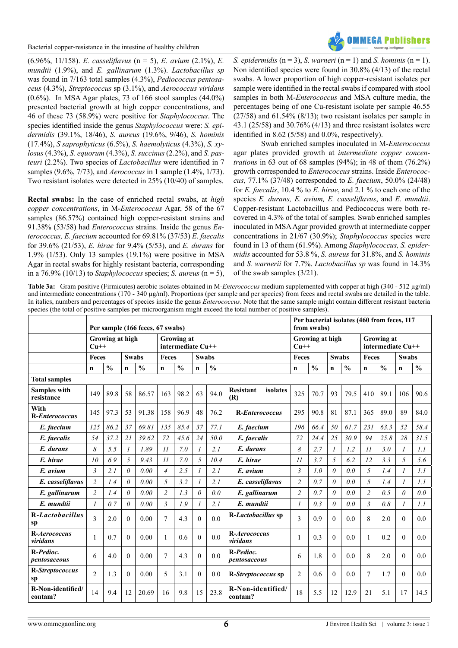

(6.96%, 11/158). *E. casseliflavus* (n = 5), *E. avium* (2.1%), *E. mundtii* (1.9%), and *E. gallinarum* (1.3%). *Lactobacillus sp* was found in 7/163 total samples (4.3%), *Pediococcus pentosaceus* (4.3%), *Streptococcus* sp (3.1%), and *Aerococcus viridans*  $(0.6\%)$ . In MSA Agar plates, 73 of 166 stool samples  $(44.0\%)$ presented bacterial growth at high copper concentrations, and 46 of these 73 (58.9%) were positive for *Staphylococcus*. The species identified inside the genus *Staphylococcus* were: *S. epidermidis* (39.1%, 18/46), *S. aureus* (19.6%, 9/46), *S. hominis* (17.4%), *S saprophyticus* (6.5%), *S. haemolyticus* (4.3%), *S. xylosus* (4.3%), *S. equorum* (4.3%), *S. succinus* (2.2%), and *S. pasteuri* (2.2%). Two species of *Lactobacillus* were identified in 7 samples (9.6%, 7/73), and *Aerococcus* in 1 sample (1.4%, 1/73). Two resistant isolates were detected in 25% (10/40) of samples.

**Rectal swabs:** In the case of enriched rectal swabs, at *high copper concentrations*, in M-*Enterococcus* Agar, 58 of the 67 samples (86.57%) contained high copper-resistant strains and 91.38% (53/58) had *Enterococcus* strains. Inside the genus *Enterococcus, E. faecium* accounted for 69.81% (37/53) *E. faecalis* for 39.6% (21/53), *E. hirae* for 9.4% (5/53), and *E. durans* for 1.9% (1/53). Only 13 samples (19.1%) were positive in MSA Agar in rectal swabs for highly resistant bacteria, corresponding in a 76.9% (10/13) to *Staphylococcus* species; *S. aureus* ( $n = 5$ ), *S. epidermidis* (n = 3), *S. warneri* (n = 1) and *S. hominis* (n = 1). Non identified species were found in 30.8% (4/13) of the rectal swabs. A lower proportion of high copper-resistant isolates per sample were identified in the rectal swabs if compared with stool samples in both M-*Enterococcus* and MSA culture media, the percentages being of one Cu-resistant isolate per sample 46.55 (27/58) and 61.54% (8/13); two resistant isolates per sample in 43.1 (25/58) and 30.76% (4/13) and three resistant isolates were identified in 8.62 (5/58) and 0.0%, respectively).

Swab enriched samples inoculated in M-*Enterococcus*  agar plates provided growth at *intermediate copper concentrations* in 63 out of 68 samples (94%); in 48 of them (76.2%) growth corresponded to *Enterococcus* strains. Inside *Enterococcus*, 77.1% (37/48) corresponded to *E. faecium*, 50.0% (24/48) for *E. faecalis*, 10.4 % to *E. hirae*, and 2.1 % to each one of the species *E. durans, E. avium, E. casseliflavus*, and *E. mundtii*. Copper-resistant Lactobacillus and Pediococcus were both recovered in 4.3% of the total of samples. Swab enriched samples inoculated in MSA Agar provided growth at intermediate copper concentrations in 21/67 (30.9%); *Staphylococcus* species were found in 13 of them (61.9%). Among *Staphylococcus, S. epidermidis* accounted for 53.8 %, *S. aureus* for 31.8%, and *S. hominis* and *S. warnerii* for 7.7%. *Lactobacillus sp* was found in 14.3% of the swab samples (3/21).

**Table 3a:** Gram positive (Firmicutes) aerobic isolates obtained in M-*Enterococcus* medium supplemented with copper at high (340 - 512 µg/ml) and intermediate concentrations (170 - 340 µg/ml). Proportions (per sample and per species) from feces and rectal swabs are detailed in the table. In italics, numbers and percentages of species inside the genus *Enterococcus*. Note that the same sample might contain different resistant bacteria species (the total of positive samples per microorganism might exceed the total number of positive samples).

|                                   |                |                 |                | Per sample (166 feces, 67 swabs) |                                        |               |                |               |                                     | Per bacterial isolates (460 from feces, 117<br>from swabs) |               |              |               |                                 |               |              |               |  |
|-----------------------------------|----------------|-----------------|----------------|----------------------------------|----------------------------------------|---------------|----------------|---------------|-------------------------------------|------------------------------------------------------------|---------------|--------------|---------------|---------------------------------|---------------|--------------|---------------|--|
|                                   | $Cu++$         | Growing at high |                |                                  | <b>Growing at</b><br>intermediate Cu++ |               |                |               |                                     | Growing at high<br>$Cu++$                                  |               |              |               | Growing at<br>intermediate Cu++ |               |              |               |  |
|                                   | Feces          |                 | <b>Swabs</b>   |                                  | Feces<br><b>Swabs</b>                  |               |                |               |                                     | Feces                                                      |               | <b>Swabs</b> | Feces         |                                 |               | <b>Swabs</b> |               |  |
|                                   | n              | $\frac{0}{0}$   | $\mathbf n$    | $\frac{0}{0}$                    | n                                      | $\frac{0}{0}$ | $\mathbf n$    | $\frac{0}{0}$ |                                     | $\mathbf n$                                                | $\frac{0}{0}$ | $\mathbf n$  | $\frac{0}{0}$ | $\mathbf n$                     | $\frac{0}{0}$ | n            | $\frac{0}{0}$ |  |
| <b>Total samples</b>              |                |                 |                |                                  |                                        |               |                |               |                                     |                                                            |               |              |               |                                 |               |              |               |  |
| <b>Samples with</b><br>resistance | 149            | 89.8            | 58             | 86.57                            | 163                                    | 98.2          | 63             | 94.0          | <b>Resistant</b><br>isolates<br>(R) | 325                                                        | 70.7          | 93           | 79.5          | 410                             | 89.1          | 106          | 90.6          |  |
| With<br><b>R-Enterococcus</b>     | 145            | 97.3            | 53             | 91.38                            | 158                                    | 96.9          | 48             | 76.2          | R-Enterococcus                      | 295                                                        | 90.8          | 81           | 87.1          | 365                             | 89.0          | 89           | 84.0          |  |
| E. faecium                        | 125            | 86.2            | 37             | 69.81                            | 135                                    | 85.4          | 37             | 77.1          | E. faecium                          | 196                                                        | 66.4          | 50           | 61.7          | 231                             | 63.3          | 52           | 58.4          |  |
| E. faecalis                       | 54             | 37.2            | 21             | 39.62                            | 72                                     | 45.6          | 24             | 50.0          | E. faecalis                         | 72                                                         | 24.4          | 25           | 30.9          | 94                              | 25.8          | 28           | 31.5          |  |
| E. durans                         | 8              | 5.5             | $\overline{I}$ | 1.89                             | $\overline{11}$                        | 7.0           |                | 2.1           | E. durans                           | 8                                                          | 2.7           |              | 1.2           | $_{11}$                         | 3.0           |              | 1.1           |  |
| E. hirae                          | 10             | 6.9             | 5              | 9.43                             | 11                                     | 7.0           | 5              | 10.4          | E. hirae                            | 11                                                         | 3.7           | 5            | 6.2           | 12                              | 3.3           | 5            | 5.6           |  |
| E. avium                          | $\mathfrak{Z}$ | 2.1             | $\theta$       | 0.00                             | $\overline{4}$                         | 2.5           |                | 2.1           | E. avium                            | $\mathfrak{Z}$                                             | 1.0           | $\theta$     | 0.0           | 5                               | 1.4           | $\mathcal I$ | 1.1           |  |
| E. casseliflavus                  | $\overline{2}$ | 1.4             | $\theta$       | 0.00                             | 5                                      | 3.2           |                | 2.1           | E. casseliflavus                    | $\overline{2}$                                             | 0.7           | $\theta$     | 0.0           | 5                               | 1.4           |              | 1.1           |  |
| E. gallinarum                     | $\overline{c}$ | 1.4             | $\theta$       | 0.00                             | $\overline{c}$                         | 1.3           | $\theta$       | 0.0           | E. gallinarum                       | $\overline{2}$                                             | 0.7           | $\theta$     | 0.0           | $\overline{c}$                  | 0.5           | $\theta$     | 0.0           |  |
| E. mundtii                        | $\mathfrak{1}$ | 0.7             | $\theta$       | $0.00\,$                         | $\mathfrak{Z}$                         | 1.9           |                | 2.1           | E. mundtii                          | $\boldsymbol{l}$                                           | 0.3           | $\theta$     | 0.0           | $\mathfrak{Z}$                  | 0.8           |              | 1.1           |  |
| R-Lactobacillus<br>sp             | 3              | 2.0             | $\Omega$       | 0.00                             | $\overline{7}$                         | 4.3           | $\Omega$       | 0.0           | R-Lactobacillus sp                  | 3                                                          | 0.9           | $\Omega$     | 0.0           | 8                               | 2.0           | $\Omega$     | 0.0           |  |
| R-Aerococcus<br>viridans          | 1              | 0.7             | $\theta$       | 0.00                             | $\mathbf{1}$                           | 0.6           | $\Omega$       | 0.0           | R-Aerococcus<br>viridans            | 1                                                          | 0.3           | $\theta$     | 0.0           | 1                               | 0.2           | $\theta$     | 0.0           |  |
| R-Pedioc.<br>pentosaceous         | 6              | 4.0             | $\theta$       | 0.00                             | 7                                      | 4.3           | $\theta$       | 0.0           | R-Pedioc.<br>pentosaceous           | 6                                                          | 1.8           | $\theta$     | 0.0           | 8                               | 2.0           | $\Omega$     | 0.0           |  |
| R-Streptococcus<br>sp             | $\overline{2}$ | 1.3             | $\theta$       | 0.00                             | 5                                      | 3.1           | $\overline{0}$ | 0.0           | R-Streptococcus sp                  | $\overline{2}$                                             | 0.6           | $\theta$     | 0.0           | 7                               | 1.7           | $\theta$     | 0.0           |  |
| R-Non-identified/<br>contam?      | 14             | 9.4             | 12             | 20.69                            | 16                                     | 9.8           | 15             | 23.8          | R-Non-identified/<br>contam?        | 18                                                         | 5.5           | 12           | 12.9          | 21                              | 5.1           | 17           | 14.5          |  |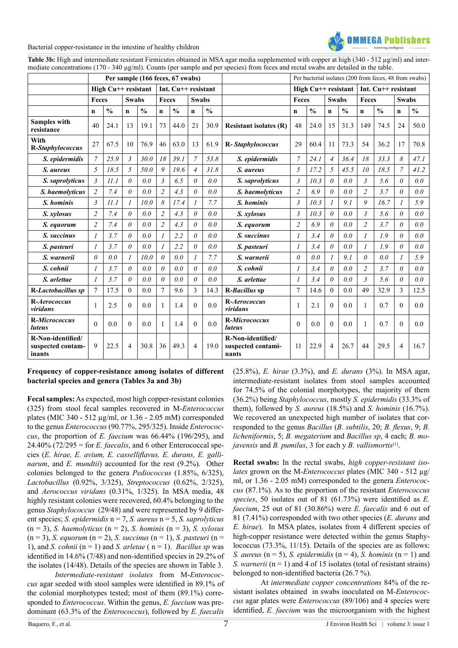

Table 3b: High and intermediate resistant Firmicutes obtained in MSA agar media supplemented with copper at high (340 - 512 µg/ml) and intermediate concentrations (170 - 340 µg/ml). Counts (per sample and per species) from feces and rectal swabs are detailed in the table.

|                                                  |                |                       |                | Per sample (166 feces, 67 swabs) |                         |               |                |               |                                                  | Per bacterial isolates (200 from feces, 48 from swabs) |               |                |                                 |                         |               |                       |               |  |
|--------------------------------------------------|----------------|-----------------------|----------------|----------------------------------|-------------------------|---------------|----------------|---------------|--------------------------------------------------|--------------------------------------------------------|---------------|----------------|---------------------------------|-------------------------|---------------|-----------------------|---------------|--|
|                                                  |                | High Cu++ resistant   |                |                                  | Int. Cu++ resistant     |               |                |               |                                                  |                                                        |               |                | High Cu <sup>++</sup> resistant |                         |               | Int. $Cu++$ resistant |               |  |
|                                                  |                | Feces<br><b>Swabs</b> |                | Feces<br><b>Swabs</b>            |                         |               |                |               | Feces                                            |                                                        | <b>Swabs</b>  |                | Feces                           |                         | <b>Swabs</b>  |                       |               |  |
|                                                  | $\mathbf n$    | $\frac{0}{0}$         | $\mathbf n$    | $\frac{0}{0}$                    | $\mathbf n$             | $\frac{0}{0}$ | $\mathbf n$    | $\frac{0}{0}$ |                                                  | $\mathbf n$                                            | $\frac{0}{0}$ | $\mathbf n$    | $\frac{0}{0}$                   | $\mathbf n$             | $\frac{0}{0}$ | $\mathbf n$           | $\frac{0}{0}$ |  |
| <b>Samples with</b><br>resistance                | 40             | 24.1                  | 13             | 19.1                             | 73                      | 44.0          | 21             | 30.9          | <b>Resistant isolates (R)</b>                    | 48                                                     | 24.0          | 15             | 31.3                            | 149                     | 74.5          | 24                    | 50.0          |  |
| With<br>R-Staphylococcus                         | 27             | 67.5                  | 10             | 76.9                             | 46                      | 63.0          | 13             | 61.9          | R-Staphylococcus                                 | 29                                                     | 60.4          | 11             | 73.3                            | 54                      | 36.2          | 17                    | 70.8          |  |
| S. epidermidis                                   | 7              | 25.9                  | $\mathfrak{Z}$ | 30.0                             | 18                      | 39.1          | $\overline{7}$ | 53.8          | S. epidermidis                                   | $\overline{7}$                                         | 24.1          | $\overline{4}$ | 36.4                            | 18                      | 33.3          | 8                     | 47.1          |  |
| S. aureus                                        | 5              | 18.5                  | 5              | 50.0                             | 9                       | 19.6          | $\overline{4}$ | 31.8          | S. aureus                                        | 5                                                      | 17.2          | 5              | 45.5                            | 10                      | 18.5          | $\overline{7}$        | 41.2          |  |
| S. saprolyticus                                  | $\mathfrak{Z}$ | 11.1                  | $\theta$       | 0.0                              | $\overline{\mathbf{3}}$ | 6.5           | $\theta$       | 0.0           | S. saprolyticus                                  | 3                                                      | 10.3          | $\theta$       | 0.0                             | $\overline{\mathbf{3}}$ | 5.6           | $\theta$              | 0.0           |  |
| S. haemolyticus                                  | $\overline{c}$ | 7.4                   | $\theta$       | 0.0                              | $\overline{c}$          | 4.3           | $\theta$       | 0.0           | S. haemolyticus                                  | $\overline{2}$                                         | 6.9           | $\theta$       | 0.0                             | $\overline{c}$          | 3.7           | $\theta$              | 0.0           |  |
| S. hominis                                       | $\mathfrak{Z}$ | 11.1                  | $\mathcal I$   | 10.0                             | 8                       | 17.4          | 1              | 7.7           | S. hominis                                       | 3                                                      | 10.3          |                | 9.1                             | 9                       | 16.7          |                       | 5.9           |  |
| S. xylosus                                       | $\overline{c}$ | 7.4                   | $\theta$       | 0.0                              | $\overline{2}$          | 4.3           | $\theta$       | 0.0           | S. xylosus                                       | $\mathfrak{Z}$                                         | 10.3          | $\theta$       | 0.0                             | $\mathfrak{Z}$          | 5.6           | $\theta$              | 0.0           |  |
| S. equorum                                       | $\overline{2}$ | 7.4                   | $\theta$       | 0.0                              | $\overline{2}$          | 4.3           | $\theta$       | 0.0           | S. equorum                                       | $\overline{c}$                                         | 6.9           | $\theta$       | 0.0                             | $\overline{c}$          | 3.7           | $\theta$              | 0.0           |  |
| S. succinus                                      | $\mathcal{I}$  | 3.7                   | $\theta$       | 0.0                              | $\mathcal{I}$           | 2.2           | $\theta$       | 0.0           | S. succinus                                      | 1                                                      | 3.4           | $\theta$       | 0.0                             | $\mathcal{I}$           | 1.9           | $\theta$              | 0.0           |  |
| S. pasteuri                                      | $\mathfrak{I}$ | 3.7                   | $\theta$       | 0.0                              | $\mathcal I$            | 2.2           | $\theta$       | 0.0           | S. pasteuri                                      | 1                                                      | 3.4           | $\theta$       | 0.0                             |                         | 1.9           | $\theta$              | 0.0           |  |
| S. warnerii                                      | 0              | 0.0                   | 1              | 10.0                             | $\theta$                | 0.0           | 1              | 7.7           | S. warnerii                                      | $\theta$                                               | 0.0           |                | 9.1                             | 0                       | 0.0           |                       | 5.9           |  |
| S. cohnii                                        | 1              | 3.7                   | $\theta$       | 0.0                              | $\theta$                | 0.0           | 0              | 0.0           | S. cohnii                                        | 1                                                      | 3.4           | $\theta$       | 0.0                             | $\overline{c}$          | 3.7           | $\theta$              | 0.0           |  |
| S. arlettae                                      | $\mathcal{I}$  | 3.7                   | $\theta$       | 0.0                              | $\theta$                | 0.0           | $\theta$       | 0.0           | S. arlettae                                      | $\mathfrak l$                                          | 3.4           | $\theta$       | 0.0                             | $\mathfrak{Z}$          | 5.6           | $\theta$              | 0.0           |  |
| R-Lactobacillus sp                               | $\tau$         | 17.5                  | $\Omega$       | 0.0                              | $\overline{7}$          | 9.6           | $\mathcal{E}$  | 14.3          | R-Bacillus sp                                    | $\overline{7}$                                         | 14.6          | $\Omega$       | 0.0                             | 49                      | 32.9          | 3                     | 12.5          |  |
| R-Aerococcus<br>viridans                         | 1              | 2.5                   | $\theta$       | 0.0                              | $\mathbf{1}$            | 1.4           | $\Omega$       | 0.0           | R-Aerococcus<br>viridans                         | $\mathbf{1}$                                           | 2.1           | $\Omega$       | 0.0                             | 1                       | 0.7           | $\Omega$              | 0.0           |  |
| R-Micrococcus<br>luteus                          | $\Omega$       | 0.0                   | $\theta$       | 0.0                              | $\mathbf{1}$            | 1.4           | $\theta$       | 0.0           | R-Micrococcus<br><i>luteus</i>                   | $\theta$                                               | 0.0           | $\Omega$       | 0.0                             | 1                       | 0.7           | $\Omega$              | 0.0           |  |
| R-Non-identified/<br>suspected contam-<br>inants | 9              | 22.5                  | 4              | 30.8                             | 36                      | 49.3          | $\overline{4}$ | 19.0          | R-Non-identified/<br>suspected contami-<br>nants | 11                                                     | 22.9          | $\overline{4}$ | 26.7                            | 44                      | 29.5          | $\overline{4}$        | 16.7          |  |

# **Frequency of copper-resistance among isolates of different bacterial species and genera (Tables 3a and 3b)**

**Fecal samples:** As expected, most high copper-resistant colonies (325) from stool fecal samples recovered in M-*Enterococcus* plates (MIC 340 - 512 µg/ml, or 1.36 - 2.05 mM) corresponded to the genus *Enterococcus* (90.77%, 295/325). Inside *Enterococcus*, the proportion of *E. faecium* was 66.44% (196/295), and  $24.40\%$  (72/295 = for *E. faecalis*, and 6 other Enterococcal species (*E. hirae, E. avium, E. casselliflavus, E. durans, E. gallinarum*, and *E. mundtii*) accounted for the rest (9.2%). Other colonies belonged to the genera *Pediococcus* (1.85%, 6/325), *Lactobacillus* (0.92%, 3/325), *Streptococcus* (0.62%, 2/325), and *Aerococcus viridans* (0.31%, 1/325). In MSA media, 48 highly resistant colonies were recovered, 60.4% belonging to the genus *Staphylococcus* (29/48) and were represented by 9 different species; *S. epidermidis* n = 7, *S. aureus* n = 5, *S. saprolyticus*  (n = 3), *S. haemolyticus* (n = 2), *S. hominis* (n = 3), *S. xylosus* (n = 3), *S. equorum* (n = 2), *S. succinus* (n = 1), *S. pasteuri* (n = 1), and *S. cohnii* ( $n = 1$ ) and *S. arletae* ( $n = 1$ ). *Bacillus sp* was identified in 14.6% (7/48) and non-identified species in 29.2% of the isolates (14/48). Details of the species are shown in Table 3.

*Intermediate-resistant isolates* from M-*Enterococcus* agar seeded with stool samples were identified in 89.1% of the colonial morphotypes tested; most of them (89.1%) corresponded to *Enterococcus*. Within the genus, *E. faecium* was predominant (63.3% of the *Enterococcus*), followed by *E. faecalis*

(25.8%), *E. hirae* (3.3%), and *E. durans* (3%). In MSA agar, intermediate-resistant isolates from stool samples accounted for 74.5% of the colonial morphotypes, the majority of them (36.2%) being *Staphylococcus*, mostly *S. epidermidis* (33.3% of them), followed by *S. aureus* (18.5%) and *S. hominis* (16.7%). We recovered an unexpected high number of isolates that corresponded to the genus *Bacillus* (*B. subtilis*, 20; *B. flexus*, 9; *B. licheniformis*, 5; *B. megaterium* and *Bacillus sp*, 4 each; *B. mojavensis* and *B. pumilus*, 3 for each y *B. vallismortis*[\[1\].](#page-11-0)

**Rectal swabs:** In the rectal swabs, *high copper-resistant isolates* grown on the M-*Enterococcus* plates (MIC 340 - 512 µg/ ml, or 1.36 - 2.05 mM) corresponded to the genera *Enterococcus* (87.1%). As to the proportion of the resistant *Enterococcus species*, 50 isolates out of 81 (61.73%) were identified as *E. faecium*, 25 out of 81 (30.86%) were *E. faecalis* and 6 out of 81 (7.41%) corresponded with two other species (*E. durans* and *E. hirae*). In MSA plates, isolates from 4 different species of high-copper resistance were detected within the genus Staphylococcus (73.3%, 11/15). Details of the species are as follows: *S. aureus* ( $n = 5$ ), *S. epidermidis* ( $n = 4$ ), *S. hominis* ( $n = 1$ ) and *S. warnerii*  $(n = 1)$  and 4 of 15 isolates (total of resistant strains) belonged to non-identified bacteria (26.7 %).

At *intermediate copper concentrations* 84% of the resistant isolates obtained in swabs inoculated on M-*Enterococcus* agar plates were *Enterococcus* (89/106) and 4 species were identified, *E. faecium* was the microorganism with the highest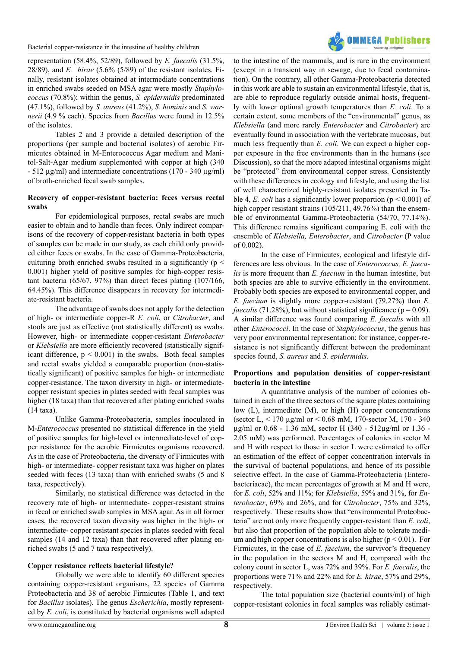

representation (58.4%, 52/89), followed by *E. faecalis* (31.5%, 28/89), and *E. hirae* (5.6% (5/89) of the resistant isolates. Finally, resistant isolates obtained at intermediate concentrations in enriched swabs seeded on MSA agar were mostly *Staphylococcus* (70.8%); within the genus, *S. epidermidis* predominated (47.1%), followed by *S. aureus* (41.2%), *S. hominis* and *S. warnerii* (4.9 % each). Species from *Bacillus* were found in 12.5% of the isolates.

Tables 2 and 3 provide a detailed description of the proportions (per sample and bacterial isolates) of aerobic Firmicutes obtained in M-Enterococcus Agar medium and Manitol-Salt-Agar medium supplemented with copper at high (340 - 512 µg/ml) and intermediate concentrations (170 - 340 µg/ml) of broth-enriched fecal swab samples.

#### **Recovery of copper-resistant bacteria: feces versus rectal swabs**

For epidemiological purposes, rectal swabs are much easier to obtain and to handle than feces. Only indirect comparisons of the recovery of copper-resistant bacteria in both types of samples can be made in our study, as each child only provided either feces or swabs. In the case of Gamma-Proteobacteria, culturing broth enriched swabs resulted in a significantly ( $p <$ 0.001) higher yield of positive samples for high-copper resistant bacteria (65/67, 97%) than direct feces plating (107/166, 64.45%). This difference disappears in recovery for intermediate-resistant bacteria.

The advantage of swabs does not apply for the detection of high- or intermediate copper-R *E. coli*, or *Citrobacter*, and stools are just as effective (not statistically different) as swabs. However, high- or intermediate copper-resistant *Enterobacter*  or *Klebsiella* are more efficiently recovered (statistically significant difference,  $p < 0.001$ ) in the swabs. Both fecal samples and rectal swabs yielded a comparable proportion (non-statistically significant) of positive samples for high- or intermediate copper-resistance. The taxon diversity in high- or intermediatecopper resistant species in plates seeded with fecal samples was higher (18 taxa) than that recovered after plating enriched swabs (14 taxa).

Unlike Gamma-Proteobacteria, samples inoculated in M-*Enterococcus* presented no statistical difference in the yield of positive samples for high-level or intermediate-level of copper resistance for the aerobic Firmicutes organisms recovered. As in the case of Proteobacteria, the diversity of Firmicutes with high- or intermediate- copper resistant taxa was higher on plates seeded with feces (13 taxa) than with enriched swabs (5 and 8 taxa, respectively).

Similarly, no statistical difference was detected in the recovery rate of high- or intermediate- copper-resistant strains in fecal or enriched swab samples in MSA agar. As in all former cases, the recovered taxon diversity was higher in the high- or intermediate- copper resistant species in plates seeded with fecal samples (14 and 12 taxa) than that recovered after plating enriched swabs (5 and 7 taxa respectively).

# **Copper resistance reflects bacterial lifestyle?**

Globally we were able to identify 60 different species containing copper-resistant organisms, 22 species of Gamma Proteobacteria and 38 of aerobic Firmicutes (Table 1, and text for *Bacillus* isolates). The genus *Escherichia*, mostly represented by *E. coli*, is constituted by bacterial organisms well adapted to the intestine of the mammals, and is rare in the environment (except in a transient way in sewage, due to fecal contamination). On the contrary, all other Gamma-Proteobacteria detected in this work are able to sustain an environmental lifestyle, that is, are able to reproduce regularly outside animal hosts, frequently with lower optimal growth temperatures than *E. coli*. To a certain extent, some members of the "environmental" genus, as *Klebsiella* (and more rarely *Enterobacter* and *Citrobacter*) are eventually found in association with the vertebrate mucosas, but much less frequently than *E. coli*. We can expect a higher copper exposure in the free environments than in the humans (see Discussion), so that the more adapted intestinal organisms might be "protected" from environmental copper stress. Consistently with these differences in ecology and lifestyle, and using the list of well characterized highly-resistant isolates presented in Table 4, *E. coli* has a significantly lower proportion ( $p < 0.001$ ) of high copper resistant strains (105/211, 49.76%) than the ensemble of environmental Gamma-Proteobacteria (54/70, 77.14%). This difference remains significant comparing E. coli with the ensemble of *Klebsiella, Enterobacter*, and *Citrobacter* (P value of 0.002).

In the case of Firmicutes, ecological and lifestyle differences are less obvious. In the case of *Enterococcus, E. faecalis* is more frequent than *E. faecium* in the human intestine, but both species are able to survive efficiently in the environment. Probably both species are exposed to environmental copper, and *E. faecium* is slightly more copper-resistant (79.27%) than *E. faecalis* (71.28%), but without statistical significance ( $p = 0.09$ ). A similar difference was found comparing *E. faecalis* with all other *Enterococci*. In the case of *Staphylococcus*, the genus has very poor environmental representation; for instance, copper-resistance is not significantly different between the predominant species found, *S. aureus* and *S. epidermidis*.

# **Proportions and population densities of copper-resistant bacteria in the intestine**

A quantitative analysis of the number of colonies obtained in each of the three sectors of the square plates containing low (L), intermediate (M), or high (H) copper concentrations (sector L,  $\leq 170 \mu$ g/ml or  $\leq 0.68$  mM, 170-sector M, 170 - 340 µg/ml or 0.68 - 1.36 mM, sector H (340 - 512µg/ml or 1.36 - 2.05 mM) was performed. Percentages of colonies in sector M and H with respect to those in sector L were estimated to offer an estimation of the effect of copper concentration intervals in the survival of bacterial populations, and hence of its possible selective effect. In the case of Gamma-Proteobacteria (Enterobacteriacae), the mean percentages of growth at M and H were, for *E. coli*, 52% and 11%; for *Klebsiella*, 59% and 31%, for *Enterobacter*, 69% and 26%, and for *Citrobacter*, 75% and 32%, respectively. These results show that "environmental Proteobacteria" are not only more frequently copper-resistant than *E. coli*, but also that proportion of the population able to tolerate medium and high copper concentrations is also higher ( $p < 0.01$ ). For Firmicutes, in the case of *E. faecium*, the survivor's frequency in the population in the sectors M and H, compared with the colony count in sector L, was 72% and 39%. For *E. faecalis*, the proportions were 71% and 22% and for *E. hirae*, 57% and 29%, respectively.

The total population size (bacterial counts/ml) of high copper-resistant colonies in fecal samples was reliably estimat-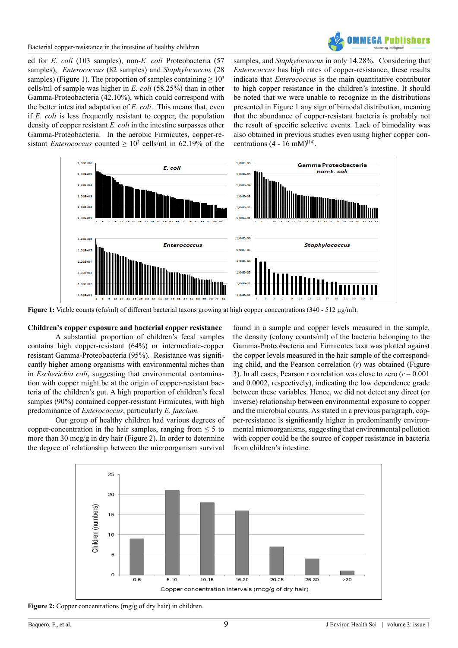

ed for *E. coli* (103 samples), non-*E. coli* Proteobacteria (57 samples), *Enterococcus* (82 samples) and *Staphylococcus* (28 samples) (Figure 1). The proportion of samples containing  $\geq 10^3$ cells/ml of sample was higher in *E. coli* (58.25%) than in other Gamma-Proteobacteria (42.10%), which could correspond with the better intestinal adaptation of *E. coli*. This means that, even if *E. coli* is less frequently resistant to copper, the population density of copper resistant *E. coli* in the intestine surpasses other Gamma-Proteobacteria. In the aerobic Firmicutes, copper-resistant *Enterococcus* counted  $\geq 10^3$  cells/ml in 62.19% of the samples, and *Staphylococcus* in only 14.28%. Considering that *Enterococcus* has high rates of copper-resistance, these results indicate that *Enterococcus* is the main quantitative contributor to high copper resistance in the children's intestine. It should be noted that we were unable to recognize in the distributions presented in Figure 1 any sign of bimodal distribution, meaning that the abundance of copper-resistant bacteria is probably not the result of specific selective events. Lack of bimodality was also obtained in previous studies even using higher copper concentrations  $(4 - 16$  mM $)^{[14]}$ .



**Figure 1:** Viable counts (cfu/ml) of different bacterial taxons growing at high copper concentrations (340 - 512 µg/ml).

# **Children's copper exposure and bacterial copper resistance**

A substantial proportion of children's fecal samples contains high copper-resistant (64%) or intermediate-copper resistant Gamma-Proteobacteria (95%). Resistance was significantly higher among organisms with environmental niches than in *Escherichia coli*, suggesting that environmental contamination with copper might be at the origin of copper-resistant bacteria of the children's gut. A high proportion of children's fecal samples (90%) contained copper-resistant Firmicutes, with high predominance of *Enterococcus*, particularly *E. faecium.*

Our group of healthy children had various degrees of copper-concentration in the hair samples, ranging from  $\leq 5$  to more than 30 mcg/g in dry hair (Figure 2). In order to determine the degree of relationship between the microorganism survival

found in a sample and copper levels measured in the sample, the density (colony counts/ml) of the bacteria belonging to the Gamma-Proteobacteria and Firmicutes taxa was plotted against the copper levels measured in the hair sample of the corresponding child, and the Pearson correlation (*r*) was obtained (Figure 3). In all cases, Pearson r correlation was close to zero  $(r = 0.001)$ and 0.0002, respectively), indicating the low dependence grade between these variables. Hence, we did not detect any direct (or inverse) relationship between environmental exposure to copper and the microbial counts. As stated in a previous paragraph, copper-resistance is significantly higher in predominantly environmental microorganisms, suggesting that environmental pollution with copper could be the source of copper resistance in bacteria from children's intestine.



Figure 2: Copper concentrations (mg/g of dry hair) in children.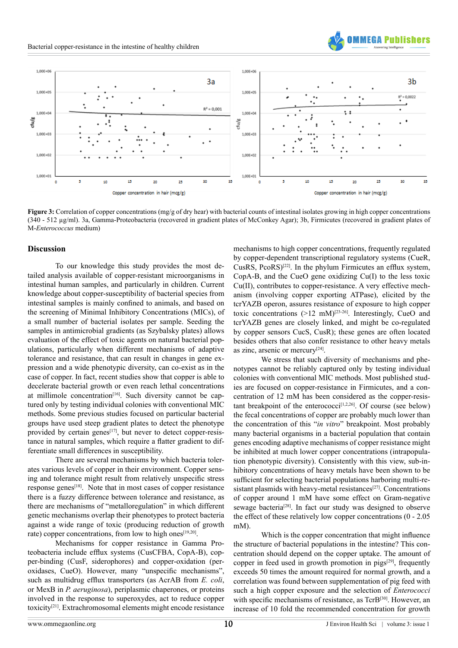



**Figure 3:** Correlation of copper concentrations (mg/g of dry hear) with bacterial counts of intestinal isolates growing in high copper concentrations (340 - 512 µg/ml). 3a, Gamma-Proteobacteria (recovered in gradient plates of McConkey Agar); 3b, Firmicutes (recovered in gradient plates of M-*Enterococcus* medium)

#### **Discussion**

To our knowledge this study provides the most detailed analysis available of copper-resistant microorganisms in intestinal human samples, and particularly in children. Current knowledge about copper-susceptibility of bacterial species from intestinal samples is mainly confined to animals, and based on the screening of Minimal Inhibitory Concentrations (MICs), of a small number of bacterial isolates per sample. Seeding the samples in antimicrobial gradients (as Szybalsky plates) allows evaluation of the effect of toxic agents on natural bacterial populations, particularly when different mechanisms of adaptive tolerance and resistance, that can result in changes in gene expression and a wide phenotypic diversity, can co-exist as in the case of copper. In fact, recent studies show that copper is able to decelerate bacterial growth or even reach lethal concentrations at millimole concentration<sup>[16]</sup>. Such diversity cannot be captured only by testing individual colonies with conventional MIC methods. Some previous studies focused on particular bacterial groups have used steep gradient plates to detect the phenotype provided by certain genes<sup>[17]</sup>, but never to detect copper-resistance in natural samples, which require a flatter gradient to differentiate small differences in susceptibility.

There are several mechanisms by which bacteria tolerates various levels of copper in their environment. Copper sensing and tolerance might result from relatively unspecific stress response genes<sup>[\[18\]](#page-11-15)</sup>. Note that in most cases of copper resistance there is a fuzzy difference between tolerance and resistance, as there are mechanisms of "metalloregulation" in which different genetic mechanisms overlap their phenotypes to protect bacteria against a wide range of toxic (producing reduction of growth rate) copper concentrations, from low to high ones<sup>[19,20]</sup>.

Mechanisms for copper resistance in Gamma Proteobacteria include efflux systems (CusCFBA, CopA-B), copper-binding (CusF, siderophores) and copper-oxidation (peroxidases, CueO). However, many "unspecific mechanisms", such as multidrug efflux transporters (as AcrAB from *E. coli*, or MexB in *P. aeruginosa*), periplasmic chaperones, or proteins involved in the response to superoxydes, act to reduce copper toxicity[\[21\]](#page-11-17). Extrachromosomal elements might encode resistance

mechanisms to high copper concentrations, frequently regulated by copper-dependent transcriptional regulatory systems (CueR, CusRS,  $PcoRS$ <sup>[\[22\]](#page-11-18)</sup>. In the phylum Firmicutes an efflux system, CopA-B, and the CueO gene oxidizing Cu(I) to the less toxic Cu(II), contributes to copper-resistance. A very effective mechanism (involving copper exporting ATPase), elicited by the tcrYAZB operon, assures resistance of exposure to high copper toxic concentrations  $(>12 \text{ mM})^{[23-26]}$ . Interestingly, CueO and tcrYAZB genes are closely linked, and might be co-regulated by copper sensors CucS, CusR); these genes are often located besides others that also confer resistance to other heavy metals as zinc, arsenic or mercur[y\[24\].](#page-11-20)

We stress that such diversity of mechanisms and phenotypes cannot be reliably captured only by testing individual colonies with conventional MIC methods. Most published studies are focused on copper-resistance in Firmicutes, and a concentration of 12 mM has been considered as the copper-resis-tant breakpoint of the enterococci<sup>[\[1,2,26\]](#page-11-0)</sup>. Of course (see below) the fecal concentrations of copper are probably much lower than the concentration of this "*in vitro*" breakpoint. Most probably many bacterial organisms in a bacterial population that contain genes encoding adaptive mechanisms of copper resistance might be inhibited at much lower copper concentrations (intrapopulation phenotypic diversity). Consistently with this view, sub-inhibitory concentrations of heavy metals have been shown to be sufficient for selecting bacterial populations harboring multi-resistant plasmids with heavy-metal resistances<sup>[27]</sup>. Concentrations of copper around 1 mM have some effect on Gram-negative sewage bacteria<sup>[28]</sup>. In fact our study was designed to observe the effect of these relatively low copper concentrations (0 - 2.05 mM).

Which is the copper concentration that might influence the structure of bacterial populations in the intestine? This concentration should depend on the copper uptake. The amount of copper in feed used in growth promotion in pigs<sup>[\[29\]](#page-12-2)</sup>, frequently exceeds 50 times the amount required for normal growth, and a correlation was found between supplementation of pig feed with such a high copper exposure and the selection of *Enterococci* with specific mechanisms of resistance, as TcrB<sup>[30]</sup>. However, an increase of 10 fold the recommended concentration for growth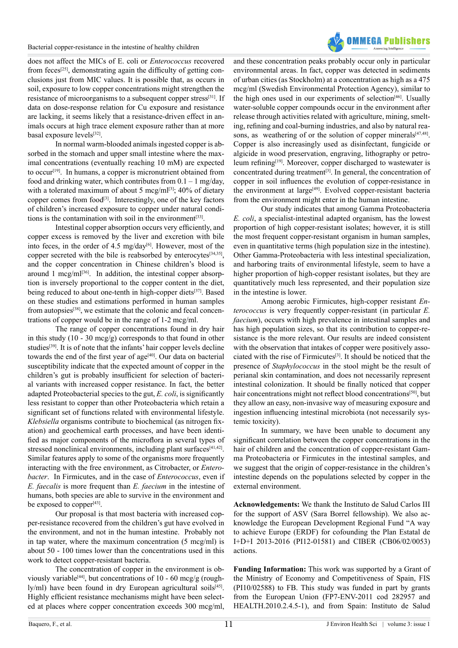

does not affect the MICs of E. coli or *Enterococcus* recovered from feces[\[25\]](#page-11-21), demonstrating again the difficulty of getting conclusions just from MIC values. It is possible that, as occurs in soil, exposure to low copper concentrations might strengthen the resistance of microorganisms to a subsequent copper stress<sup>[31]</sup>. If data on dose-response relation for Cu exposure and resistance are lacking, it seems likely that a resistance-driven effect in animals occurs at high trace element exposure rather than at more basal exposure levels[\[32\].](#page-12-5)

In normal warm-blooded animals ingested copper is absorbed in the stomach and upper small intestine where the maximal concentrations (eventually reaching 10 mM) are expected to occur<sup>[19]</sup>. In humans, a copper is micronutrient obtained from food and drinking water, which contributes from  $0.1 - 1$  mg/day, with a tolerated maximum of about 5 mcg/ml<sup>[3]</sup>; 40% of dietary copper comes from food<sup>[\[3\]](#page-11-2)</sup>. Interestingly, one of the key factors of children's increased exposure to copper under natural conditions is the contamination with soil in the environment $[33]$ .

Intestinal copper absorption occurs very efficiently, and copper excess is removed by the liver and excretion with bile into feces, in the order of 4.5 mg/day<sup>[6]</sup>. However, most of the copper secreted with the bile is reabsorbed by enterocytes<sup>[34,35]</sup>, and the copper concentration in Chinese children's blood is around 1 mcg/ml $^{[36]}$ . In addition, the intestinal copper absorption is inversely proportional to the copper content in the diet, being reduced to about one-tenth in high-copper diets<sup>[37]</sup>. Based on these studies and estimations performed in human samples from autopsies<sup>[38]</sup>, we estimate that the colonic and fecal concentrations of copper would be in the range of 1-2 mcg/ml.

The range of copper concentrations found in dry hair in this study (10 - 30 mcg/g) corresponds to that found in other studies<sup>[\[39\]](#page-12-11)</sup>. It is of note that the infants' hair copper levels decline towards the end of the first year of age<sup>[40]</sup>. Our data on bacterial susceptibility indicate that the expected amount of copper in the children's gut is probably insufficient for selection of bacterial variants with increased copper resistance. In fact, the better adapted Proteobacterial species to the gut, *E. coli*, is significantly less resistant to copper than other Proteobacteria which retain a significant set of functions related with environmental lifestyle. *Klebsiella* organisms contribute to biochemical (as nitrogen fixation) and geochemical earth processes, and have been identified as major components of the microflora in several types of stressed nonclinical environments, including plant surfaces $[41,42]$ . Similar features apply to some of the organisms more frequently interacting with the free environment, as Citrobacter, or *Enterobacter*. In Firmicutes, and in the case of *Enterococcus*, even if *E. faecalis* is more frequent than *E. faecium* in the intestine of humans, both species are able to survive in the environment and be exposed to copper<sup>[\[43\]](#page-12-14)</sup>.

Our proposal is that most bacteria with increased copper-resistance recovered from the children's gut have evolved in the environment, and not in the human intestine. Probably not in tap water, where the maximum concentration (5 mcg/ml) is about 50 - 100 times lower than the concentrations used in this work to detect copper-resistant bacteria.

The concentration of copper in the environment is obviously variable<sup>[44]</sup>, but concentrations of 10 - 60 mcg/g (rough- $\lceil y/m \rceil$ ) have been found in dry European agricultural soils $[45]$ . Highly efficient resistance mechanisms might have been selected at places where copper concentration exceeds 300 mcg/ml,

and these concentration peaks probably occur only in particular environmental areas. In fact, copper was detected in sediments of urban cities (as Stockholm) at a concentration as high as a 475 mcg/ml (Swedish Environmental Protection Agency), similar to the high ones used in our experiments of selection<sup>[46]</sup>. Usually water-soluble copper compounds occur in the environment after release through activities related with agriculture, mining, smelting, refining and coal-burning industries, and also by natural reasons, as weathering of or the solution of copper minerals<sup>[47,48]</sup>. Copper is also increasingly used as disinfectant, fungicide or algicide in wood preservation, engraving, lithography or petro-leum refining<sup>[\[19\]](#page-11-16)</sup>. Moreover, copper discharged to wastewater is concentrated during treatment<sup>[3]</sup>. In general, the concentration of copper in soil influences the evolution of copper-resistance in the environment at large<sup>[49]</sup>. Evolved copper-resistant bacteria from the environment might enter in the human intestine.

Our study indicates that among Gamma Proteobacteria *E. coli*, a specialist-intestinal adapted organism, has the lowest proportion of high copper-resistant isolates; however, it is still the most frequent copper-resistant organism in human samples, even in quantitative terms (high population size in the intestine). Other Gamma-Proteobacteria with less intestinal specialization, and harboring traits of environmental lifestyle, seem to have a higher proportion of high-copper resistant isolates, but they are quantitatively much less represented, and their population size in the intestine is lower.

Among aerobic Firmicutes, high-copper resistant *Enterococcus* is very frequently copper-resistant (in particular *E. faecium*), occurs with high prevalence in intestinal samples and has high population sizes, so that its contribution to copper-resistance is the more relevant. Our results are indeed consistent with the observation that intakes of copper were positively associated with the rise of Firmicutes[\[3\].](#page-11-2) It should be noticed that the presence of *Staphylococcus* in the stool might be the result of perianal skin contamination, and does not necessarily represent intestinal colonization. It should be finally noticed that copper hair concentrations might not reflect blood concentrations<sup>[50]</sup>, but they allow an easy, non-invasive way of measuring exposure and ingestion influencing intestinal microbiota (not necessarily systemic toxicity).

In summary, we have been unable to document any significant correlation between the copper concentrations in the hair of children and the concentration of copper-resistant Gamma Proteobacteria or Firmicutes in the intestinal samples, and we suggest that the origin of copper-resistance in the children's intestine depends on the populations selected by copper in the external environment.

**Acknowledgements:** We thank the Instituto de Salud Carlos III for the support of ASV (Sara Borrel fellowship). We also acknowledge the European Development Regional Fund "A way to achieve Europe (ERDF) for cofounding the Plan Estatal de I+D+I 2013-2016 (PI12-01581) and CIBER (CB06/02/0053) actions.

**Funding Information:** This work was supported by a Grant of the Ministry of Economy and Competitiveness of Spain, FIS (PI10/02588) to FB. This study was funded in part by grants from the European Union (FP7-ENV-2011 cod 282957 and HEALTH.2010.2.4.5-1), and from Spain: Instituto de Salud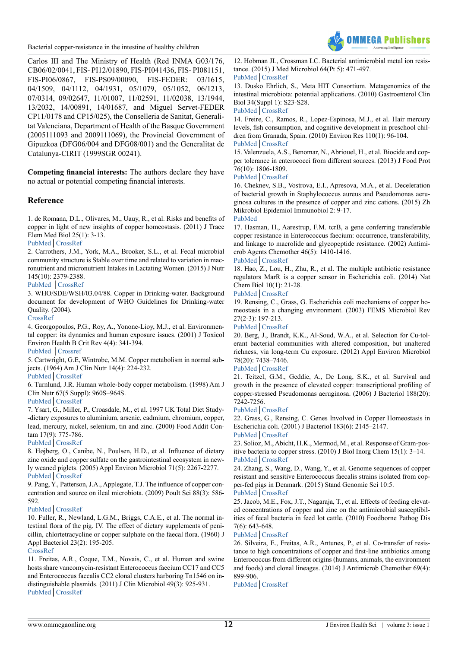

Carlos III and The Ministry of Health (Red INMA G03/176, CB06/02/0041, FIS- PI12/01890, FIS-PI041436, FIS- PI081151, FIS-PI06/0867, FIS-PS09/00090, FIS-FEDER: 03/1615, 04/1509, 04/1112, 04/1931, 05/1079, 05/1052, 06/1213, 07/0314, 09/02647, 11/01007, 11/02591, 11/02038, 13/1944, 13/2032, 14/00891, 14/01687, and Miguel Servet-FEDER CP11/0178 and CP15/025), the Conselleria de Sanitat, Generalitat Valenciana, Department of Health of the Basque Government (2005111093 and 2009111069), the Provincial Government of Gipuzkoa (DFG06/004 and DFG08/001) and the Generalitat de Catalunya-CIRIT (1999SGR 00241).

**Competing financial interests:** The authors declare they have no actual or potential competing financial interests.

# **Reference**

<span id="page-11-0"></span>1. de Romana, D.L., Olivares, M., Uauy, R., et al. Risks and benefits of copper in light of new insights of copper homeostasis. (2011) J Trace Elem Med Biol 25(1): 3-13.

[PubMed](https://www.ncbi.nlm.nih.gov/pubmed/21342755)│[CrossRef](https://doi.org/10.1016/j.jtemb.2010.11.004)

<span id="page-11-1"></span>2. Carrothers, J.M., York, M.A., Brooker, S.L., et al. Fecal microbial community structure is Stable over time and related to variation in macronutrient and micronutrient Intakes in Lactating Women. (2015) J Nutr 145(10): 2379-2388.

# [PubMed](https://www.ncbi.nlm.nih.gov/pubmed/26311809) │[CrossRef](http://jn.nutrition.org/content/145/10/2379.full)

<span id="page-11-2"></span>3. WHO/SDE/WSH/03.04/88. Copper in Drinking-water. Background document for development of WHO Guidelines for Drinking-water Quality. (2004).

### [CrossRef](http://www.who.int/water_sanitation_health/dwq/chemicals/copper.pdf)

<span id="page-11-3"></span>4. Georgopoulos, P.G., Roy, A., Yonone-Lioy, M.J., et al. Environmental copper: its dynamics and human exposure issues. (2001) J Toxicol Environ Health B Crit Rev 4(4): 341-394.

[PubMed](https://www.ncbi.nlm.nih.gov/pubmed/11695043) │[Crossref](https://doi.org/10.1080/109374001753146207)

<span id="page-11-4"></span>5. Cartwright, G.E, Wintrobe, M.M. Copper metabolism in normal subjects. (1964) Am J Clin Nutr 14(4): 224-232.

[PubMed](https://www.ncbi.nlm.nih.gov/pubmed/14142382)│[CrossRef](http://ajcn.nutrition.org/content/14/4/224.abstract)

<span id="page-11-5"></span>6. Turnlund, J.R. Human whole-body copper metabolism. (1998) Am J Clin Nutr 67(5 Suppl): 960S–964S.

[PubMed](https://www.ncbi.nlm.nih.gov/pubmed/9587136)│[CrossRef](http://ajcn.nutrition.org/content/67/5/960S.abstract)

<span id="page-11-6"></span>7. Ysart, G., Miller, P., Croasdale, M., et al. 1997 UK Total Diet Study- -dietary exposures to aluminium, arsenic, cadmium, chromium, copper, lead, mercury, nickel, selenium, tin and zinc. (2000) Food Addit Contam 17(9): 775-786.

[PubMed](https://www.ncbi.nlm.nih.gov/pubmed/11091791)│[CrossRef](http://www.tandfonline.com/doi/abs/10.1080/026520300415327?journalCode=tfac19)

<span id="page-11-7"></span>8. Højberg, O., Canibe, N., Poulsen, H.D., et al. Influence of dietary zinc oxide and copper sulfate on the gastrointestinal ecosystem in newly weaned piglets. (2005) Appl Environ Microbiol 71(5): 2267-2277. [PubMed](https://www.ncbi.nlm.nih.gov/pubmed/15870311)│[CrossRef](https://doi.org/10.1128/AEM.71.5.2267-2277.2005)

<span id="page-11-8"></span>9. Pang, Y., Patterson, J.A., Applegate, T.J. The influence of copper concentration and source on ileal microbiota. (2009) Poult Sci 88(3): 586- 592.

#### [PubMed](https://www.ncbi.nlm.nih.gov/pubmed/19211529)│[CrossRef](https://doi.org/10.3382/ps.2008-00243)

<span id="page-11-9"></span>10. Fuller, R., Newland, L.G.M., Briggs, C.A.E., et al. The normal intestinal flora of the pig. IV. The effect of dietary supplements of penicillin, chlortetracycline or copper sulphate on the faecal flora. (1960) J Appl Bacteriol 23(2): 195-205.

#### [CrossRef](https://doi.org/10.1111/j.1365-2672.1960.tb00197.x)

<span id="page-11-10"></span>11. Freitas, A.R., Coque, T.M., Novais, C., et al. Human and swine hosts share vancomycin-resistant Enterococcus faecium CC17 and CC5 and Enterococcus faecalis CC2 clonal clusters harboring Tn1546 on indistinguishable plasmids. (2011) J Clin Microbiol 49(3): 925-931. [PubMed](https://www.ncbi.nlm.nih.gov/pubmed/21227995)│[CrossRef](https://doi.org/10.1128/JCM.01750-10)

12. Hobman JL, Crossman LC. Bacterial antimicrobial metal ion resistance. (2015) J Med Microbiol 64(Pt 5): 471-497.

# [PubMed](https://www.ncbi.nlm.nih.gov/pubmed/25418738)│[CrossRef](https://doi.org/10.1099/jmm.0.023036-0)

<span id="page-11-11"></span>13. Dusko Ehrlich, S., Meta HIT Consortium. Metagenomics of the intestinal microbiota: potential applications. (2010) Gastroenterol Clin Biol 34(Suppl 1): S23-S28.

#### [PubMed](https://www.ncbi.nlm.nih.gov/pubmed/20889001)│[CrossRef](https://doi.org/10.1016/S0399-8320(10)70017-8)

<span id="page-11-12"></span>14. Freire, C., Ramos, R., Lopez-Espinosa, M.J., et al. Hair mercury levels, fish consumption, and cognitive development in preschool children from Granada, Spain. (2010) Environ Res 110(1): 96-104.

# [PubMed](https://www.ncbi.nlm.nih.gov/pubmed/19909946)│[CrossRef](https://doi.org/10.1016/j.envres.2009.10.005)

15. Valenzuela, A.S., Benomar, N., Abriouel, H., et al. Biocide and copper tolerance in enterococci from different sources. (2013) J Food Prot 76(10): 1806-1809.

#### [PubMed](https://www.ncbi.nlm.nih.gov/pubmed/24112585)│[CrossRef](https://doi.org/10.4315/0362-028X.JFP-13-124)

<span id="page-11-13"></span>16. Cheknev, S.B., Vostrova, E.I., Apresova, M.A., et al. Deceleration of bacterial growth in Staphylococcus aureus and Pseudomonas aeruginosa cultures in the presence of copper and zinc cations. (2015) Zh Mikrobiol Epidemiol Immunobiol 2: 9-17.

# [PubMed](https://www.ncbi.nlm.nih.gov/pubmed/26016338)

<span id="page-11-14"></span>17. Hasman, H., Aarestrup, F.M. tcrB, a gene conferring transferable copper resistance in Enterococcus faecium: occurrence, transferability, and linkage to macrolide and glycopeptide resistance. (2002) Antimicrob Agents Chemother 46(5): 1410-1416.

# [PubMed](https://www.ncbi.nlm.nih.gov/pubmed/11959576)│[CrossRef](https://doi.org/10.1128/AAC.46.5.1410-1416.2002)

<span id="page-11-15"></span>18. Hao, Z., Lou, H., Zhu, R., et al. The multiple antibiotic resistance regulators MarR is a copper sensor in Escherichia coli. (2014) Nat Chem Biol 10(1): 21-28.

#### [PubMed](https://www.ncbi.nlm.nih.gov/pubmed/24185215)│[CrossRef](https://doi.org/10.1038/nchembio.1380)

<span id="page-11-16"></span>19. Rensing, C., Grass, G. Escherichia coli mechanisms of copper homeostasis in a changing environment. (2003) FEMS Microbiol Rev 27(2-3): 197-213.

# [PubMed](https://www.ncbi.nlm.nih.gov/pubmed/12829268)│[CrossRef](https://doi.org/10.1016/S0168-6445(03)00049-4)

20. Berg, J., Brandt, K.K., Al-Soud, W.A., et al. Selection for Cu-tolerant bacterial communities with altered composition, but unaltered richness, via long-term Cu exposure. (2012) Appl Environ Microbiol 78(20): 7438–7446.

#### [PubMed](https://www.ncbi.nlm.nih.gov/pubmed/22904046)│[CrossRef](https://doi.org/10.1128/AEM.01071-12)

<span id="page-11-17"></span>21. Teitzel, G.M., Geddie, A., De Long, S.K., et al. Survival and growth in the presence of elevated copper: transcriptional profiling of copper-stressed Pseudomonas aeruginosa. (2006) J Bacteriol 188(20): 7242-7256.

#### [PubMed](https://www.ncbi.nlm.nih.gov/pubmed/17015663)│[CrossRef](https://doi.org/10.1128/JB.00837-06)

<span id="page-11-18"></span>22. Grass, G., Rensing, C. Genes Involved in Copper Homeostasis in Escherichia coli. (2001) J Bacteriol 183(6): 2145–2147.

# [PubMed](https://www.ncbi.nlm.nih.gov/pubmed/11222619)│[CrossRef](https://doi.org/10.1128/JB.183.6.2145-2147.2001)

<span id="page-11-19"></span>23. Solioz, M., Abicht, H.K., Mermod, M., et al. Response of Gram-positive bacteria to copper stress. (2010) J Biol Inorg Chem 15(1): 3–14. [PubMed](https://www.ncbi.nlm.nih.gov/pubmed/19774401)│[CrossRef](https://doi.org/10.1007/s00775-009-0588-3)

<span id="page-11-20"></span>24. Zhang, S., Wang, D., Wang, Y., et al. Genome sequences of copper resistant and sensitive Enterococcus faecalis strains isolated from copper-fed pigs in Denmark. (2015) Stand Genomic Sci 10:5.

# [PubMed](https://www.ncbi.nlm.nih.gov/pubmed/26203344)│[CrossRef](https://doi.org/10.1186/s40793-015-0021-1)

<span id="page-11-21"></span>25. Jacob, M.E., Fox, J.T., Nagaraja, T., et al. Effects of feeding elevated concentrations of copper and zinc on the antimicrobial susceptibilities of fecal bacteria in feed lot cattle. (2010) Foodborne Pathog Dis 7(6): 643-648.

# [PubMed](https://www.ncbi.nlm.nih.gov/pubmed/20482227)│[CrossRef](https://doi.org/10.1089/fpd.2009.0401)

26. Silveira, E., Freitas, A.R., Antunes, P., et al. Co-transfer of resistance to high concentrations of copper and first-line antibiotics among Enterococcus from different origins (humans, animals, the environment and foods) and clonal lineages. (2014) J Antimicrob Chemother 69(4): 899-906.

[PubMed](https://www.ncbi.nlm.nih.gov/pubmed/24343895)│[CrossRef](https://doi.org/10.1093/jac/dkt479)